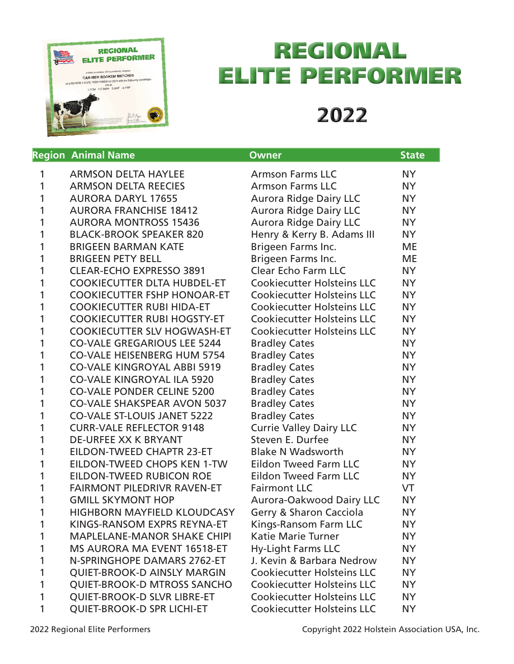

## REGIONAL ELITE PERFORMER

## 

|   | <b>Region Animal Name</b>          | <b>Owner</b>                      | <b>State</b> |
|---|------------------------------------|-----------------------------------|--------------|
| 1 | <b>ARMSON DELTA HAYLEE</b>         | <b>Armson Farms LLC</b>           | <b>NY</b>    |
| 1 | <b>ARMSON DELTA REECIES</b>        | <b>Armson Farms LLC</b>           | <b>NY</b>    |
| 1 | <b>AURORA DARYL 17655</b>          | <b>Aurora Ridge Dairy LLC</b>     | <b>NY</b>    |
| 1 | <b>AURORA FRANCHISE 18412</b>      | <b>Aurora Ridge Dairy LLC</b>     | <b>NY</b>    |
| 1 | <b>AURORA MONTROSS 15436</b>       | <b>Aurora Ridge Dairy LLC</b>     | <b>NY</b>    |
| 1 | <b>BLACK-BROOK SPEAKER 820</b>     | Henry & Kerry B. Adams III        | <b>NY</b>    |
| 1 | <b>BRIGEEN BARMAN KATE</b>         | Brigeen Farms Inc.                | <b>ME</b>    |
| 1 | <b>BRIGEEN PETY BELL</b>           | Brigeen Farms Inc.                | <b>ME</b>    |
| 1 | <b>CLEAR-ECHO EXPRESSO 3891</b>    | <b>Clear Echo Farm LLC</b>        | <b>NY</b>    |
| 1 | <b>COOKIECUTTER DLTA HUBDEL-ET</b> | <b>Cookiecutter Holsteins LLC</b> | <b>NY</b>    |
| 1 | <b>COOKIECUTTER FSHP HONOAR-ET</b> | <b>Cookiecutter Holsteins LLC</b> | <b>NY</b>    |
| 1 | <b>COOKIECUTTER RUBI HIDA-ET</b>   | <b>Cookiecutter Holsteins LLC</b> | <b>NY</b>    |
| 1 | <b>COOKIECUTTER RUBI HOGSTY-ET</b> | <b>Cookiecutter Holsteins LLC</b> | <b>NY</b>    |
| 1 | <b>COOKIECUTTER SLV HOGWASH-ET</b> | <b>Cookiecutter Holsteins LLC</b> | <b>NY</b>    |
| 1 | <b>CO-VALE GREGARIOUS LEE 5244</b> | <b>Bradley Cates</b>              | <b>NY</b>    |
| 1 | <b>CO-VALE HEISENBERG HUM 5754</b> | <b>Bradley Cates</b>              | <b>NY</b>    |
| 1 | <b>CO-VALE KINGROYAL ABBI 5919</b> | <b>Bradley Cates</b>              | <b>NY</b>    |
| 1 | <b>CO-VALE KINGROYAL ILA 5920</b>  | <b>Bradley Cates</b>              | <b>NY</b>    |
| 1 | <b>CO-VALE PONDER CELINE 5200</b>  | <b>Bradley Cates</b>              | <b>NY</b>    |
| 1 | <b>CO-VALE SHAKSPEAR AVON 5037</b> | <b>Bradley Cates</b>              | <b>NY</b>    |
| 1 | <b>CO-VALE ST-LOUIS JANET 5222</b> | <b>Bradley Cates</b>              | <b>NY</b>    |
| 1 | <b>CURR-VALE REFLECTOR 9148</b>    | <b>Currie Valley Dairy LLC</b>    | <b>NY</b>    |
| 1 | <b>DE-URFEE XX K BRYANT</b>        | Steven E. Durfee                  | <b>NY</b>    |
| 1 | EILDON-TWEED CHAPTR 23-ET          | <b>Blake N Wadsworth</b>          | <b>NY</b>    |
| 1 | EILDON-TWEED CHOPS KEN 1-TW        | <b>Eildon Tweed Farm LLC</b>      | <b>NY</b>    |
| 1 | EILDON-TWEED RUBICON ROE           | <b>Eildon Tweed Farm LLC</b>      | <b>NY</b>    |
| 1 | <b>FAIRMONT PILEDRIVR RAVEN-ET</b> | <b>Fairmont LLC</b>               | <b>VT</b>    |
| 1 | <b>GMILL SKYMONT HOP</b>           | Aurora-Oakwood Dairy LLC          | <b>NY</b>    |
| 1 | <b>HIGHBORN MAYFIELD KLOUDCASY</b> | Gerry & Sharon Cacciola           | <b>NY</b>    |
|   | KINGS-RANSOM EXPRS REYNA-ET        | Kings-Ransom Farm LLC             | <b>NY</b>    |
| 1 | <b>MAPLELANE-MANOR SHAKE CHIPI</b> | <b>Katie Marie Turner</b>         | <b>NY</b>    |
| 1 | <b>MS AURORA MA EVENT 16518-ET</b> | <b>Hy-Light Farms LLC</b>         | <b>NY</b>    |
|   | N-SPRINGHOPE DAMARS 2762-ET        | J. Kevin & Barbara Nedrow         | <b>NY</b>    |
| 1 | <b>QUIET-BROOK-D AINSLY MARGIN</b> | <b>Cookiecutter Holsteins LLC</b> | <b>NY</b>    |
| 1 | <b>QUIET-BROOK-D MTROSS SANCHO</b> | <b>Cookiecutter Holsteins LLC</b> | <b>NY</b>    |
| 1 | <b>QUIET-BROOK-D SLVR LIBRE-ET</b> | <b>Cookiecutter Holsteins LLC</b> | <b>NY</b>    |
| 1 | QUIET-BROOK-D SPR LICHI-ET         | <b>Cookiecutter Holsteins LLC</b> | <b>NY</b>    |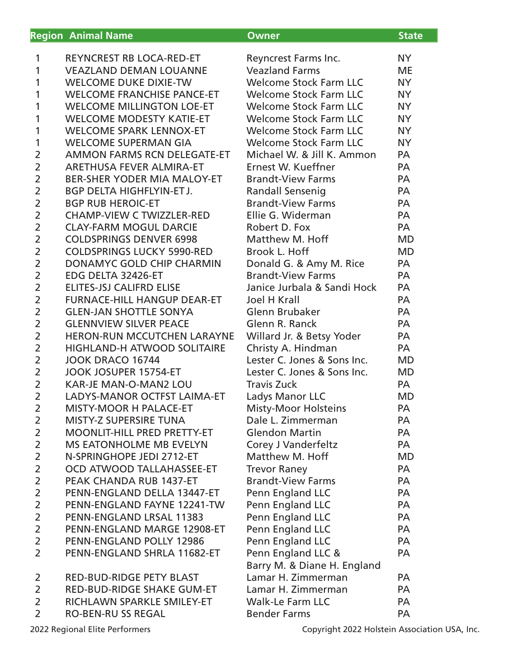|                | <b>Region Animal Name</b>          | <b>Owner</b>                  | <b>State</b> |
|----------------|------------------------------------|-------------------------------|--------------|
|                |                                    |                               |              |
| 1              | REYNCREST RB LOCA-RED-ET           | Reyncrest Farms Inc.          | NY.          |
| $\mathbf{1}$   | <b>VEAZLAND DEMAN LOUANNE</b>      | <b>Veazland Farms</b>         | <b>ME</b>    |
| $\mathbf{1}$   | <b>WELCOME DUKE DIXIE-TW</b>       | <b>Welcome Stock Farm LLC</b> | <b>NY</b>    |
| 1              | <b>WELCOME FRANCHISE PANCE-ET</b>  | <b>Welcome Stock Farm LLC</b> | <b>NY</b>    |
| 1              | <b>WELCOME MILLINGTON LOE-ET</b>   | <b>Welcome Stock Farm LLC</b> | <b>NY</b>    |
| 1              | <b>WELCOME MODESTY KATIE-ET</b>    | <b>Welcome Stock Farm LLC</b> | <b>NY</b>    |
| 1              | <b>WELCOME SPARK LENNOX-ET</b>     | <b>Welcome Stock Farm LLC</b> | <b>NY</b>    |
| $\mathbf{1}$   | <b>WELCOME SUPERMAN GIA</b>        | <b>Welcome Stock Farm LLC</b> | <b>NY</b>    |
| $\overline{2}$ | AMMON FARMS RCN DELEGATE-ET        | Michael W. & Jill K. Ammon    | PA           |
| $\overline{2}$ | ARETHUSA FEVER ALMIRA-ET           | Ernest W. Kueffner            | PA           |
| $\overline{2}$ | BER-SHER YODER MIA MALOY-ET        | <b>Brandt-View Farms</b>      | PA           |
| $\overline{2}$ | BGP DELTA HIGHFLYIN-ET J.          | <b>Randall Sensenig</b>       | PA           |
| $\overline{2}$ | <b>BGP RUB HEROIC-ET</b>           | <b>Brandt-View Farms</b>      | PA           |
| $\overline{2}$ | <b>CHAMP-VIEW C TWIZZLER-RED</b>   | Ellie G. Widerman             | PA           |
| $\overline{2}$ | <b>CLAY-FARM MOGUL DARCIE</b>      | Robert D. Fox                 | PA           |
| $\overline{2}$ | <b>COLDSPRINGS DENVER 6998</b>     | Matthew M. Hoff               | <b>MD</b>    |
| $\overline{2}$ | <b>COLDSPRINGS LUCKY 5990-RED</b>  | Brook L. Hoff                 | <b>MD</b>    |
| $\overline{2}$ | DONAMYC GOLD CHIP CHARMIN          | Donald G. & Amy M. Rice       | PA           |
| $\overline{2}$ | EDG DELTA 32426-ET                 | <b>Brandt-View Farms</b>      | PA           |
| $\overline{2}$ | <b>ELITES-JSJ CALIFRD ELISE</b>    | Janice Jurbala & Sandi Hock   | PA           |
| $\overline{2}$ | <b>FURNACE-HILL HANGUP DEAR-ET</b> | <b>Joel H Krall</b>           | PA           |
| $\overline{2}$ | <b>GLEN-JAN SHOTTLE SONYA</b>      | Glenn Brubaker                | PA           |
| $\overline{2}$ | <b>GLENNVIEW SILVER PEACE</b>      | Glenn R. Ranck                | PA           |
| $\overline{2}$ | HERON-RUN MCCUTCHEN LARAYNE        | Willard Jr. & Betsy Yoder     | PA           |
| $\overline{2}$ | HIGHLAND-H ATWOOD SOLITAIRE        | Christy A. Hindman            | PA           |
| $\overline{2}$ | JOOK DRACO 16744                   | Lester C. Jones & Sons Inc.   | <b>MD</b>    |
| $\overline{2}$ | JOOK JOSUPER 15754-ET              | Lester C. Jones & Sons Inc.   | <b>MD</b>    |
| $\overline{2}$ | <b>KAR-JE MAN-O-MAN2 LOU</b>       | <b>Travis Zuck</b>            | PA           |
| $\overline{2}$ | LADYS-MANOR OCTFST LAIMA-ET        | Ladys Manor LLC               | <b>MD</b>    |
| $\overline{2}$ | <b>MISTY-MOOR H PALACE-ET</b>      | <b>Misty-Moor Holsteins</b>   | PA           |
| $\overline{2}$ | <b>MISTY-Z SUPERSIRE TUNA</b>      | Dale L. Zimmerman             | PA           |
| $\overline{2}$ | <b>MOONLIT-HILL PRED PRETTY-ET</b> | <b>Glendon Martin</b>         | PA           |
| $\overline{2}$ | MS EATONHOLME MB EVELYN            | <b>Corey J Vanderfeltz</b>    | PA           |
| $\overline{2}$ | N-SPRINGHOPE JEDI 2712-ET          | Matthew M. Hoff               | <b>MD</b>    |
| $\overline{2}$ | OCD ATWOOD TALLAHASSEE-ET          | <b>Trevor Raney</b>           | PA           |
| $\overline{2}$ | PEAK CHANDA RUB 1437-ET            | <b>Brandt-View Farms</b>      | PA           |
| $\overline{2}$ | PENN-ENGLAND DELLA 13447-ET        | Penn England LLC              | PA           |
| $\overline{2}$ | PENN-ENGLAND FAYNE 12241-TW        | Penn England LLC              | PA           |
| $\overline{2}$ | PENN-ENGLAND LRSAL 11383           | Penn England LLC              | PA           |
| $\overline{2}$ | PENN-ENGLAND MARGE 12908-ET        | Penn England LLC              | PA           |
| $\overline{2}$ | PENN-ENGLAND POLLY 12986           | Penn England LLC              | PA           |
| $\overline{2}$ | PENN-ENGLAND SHRLA 11682-ET        | Penn England LLC &            | PA           |
|                |                                    | Barry M. & Diane H. England   |              |
| $\overline{2}$ | <b>RED-BUD-RIDGE PETY BLAST</b>    | Lamar H. Zimmerman            | <b>PA</b>    |
| 2              | <b>RED-BUD-RIDGE SHAKE GUM-ET</b>  | Lamar H. Zimmerman            | PA           |
| $\overline{2}$ | RICHLAWN SPARKLE SMILEY-ET         | <b>Walk-Le Farm LLC</b>       | PA           |
| $\overline{2}$ | <b>RO-BEN-RU SS REGAL</b>          | <b>Bender Farms</b>           | PA           |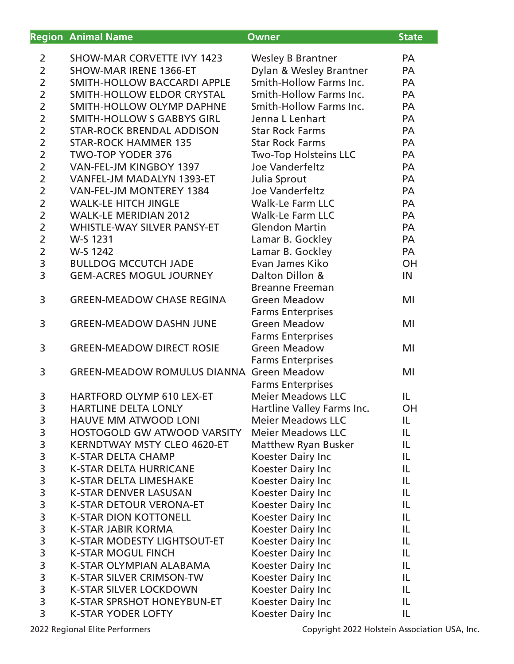|                         | <b>Region Animal Name</b>                                             | <b>Owner</b>                                       | <b>State</b> |
|-------------------------|-----------------------------------------------------------------------|----------------------------------------------------|--------------|
| 2                       | <b>SHOW-MAR CORVETTE IVY 1423</b>                                     |                                                    | PA           |
| $\overline{2}$          | <b>SHOW-MAR IRENE 1366-ET</b>                                         | <b>Wesley B Brantner</b>                           | PA           |
| $\overline{2}$          | <b>SMITH-HOLLOW BACCARDI APPLE</b>                                    | Dylan & Wesley Brantner<br>Smith-Hollow Farms Inc. | PA           |
| $\overline{2}$          | SMITH-HOLLOW ELDOR CRYSTAL                                            | Smith-Hollow Farms Inc.                            | PA           |
| $\overline{2}$          | <b>SMITH-HOLLOW OLYMP DAPHNE</b>                                      | Smith-Hollow Farms Inc.                            | PA           |
| $\overline{2}$          |                                                                       |                                                    |              |
| $\overline{2}$          | <b>SMITH-HOLLOW S GABBYS GIRL</b><br><b>STAR-ROCK BRENDAL ADDISON</b> | Jenna L Lenhart                                    | PA           |
| $\overline{2}$          | <b>STAR-ROCK HAMMER 135</b>                                           | <b>Star Rock Farms</b>                             | PA           |
| $\overline{2}$          |                                                                       | <b>Star Rock Farms</b>                             | PA<br>PA     |
| $\overline{2}$          | <b>TWO-TOP YODER 376</b>                                              | <b>Two-Top Holsteins LLC</b><br>Joe Vanderfeltz    | PA           |
| $\overline{2}$          | VAN-FEL-JM KINGBOY 1397                                               |                                                    |              |
| $\overline{2}$          | VANFEL-JM MADALYN 1393-ET                                             | Julia Sprout                                       | PA           |
|                         | <b>VAN-FEL-JM MONTEREY 1384</b>                                       | Joe Vanderfeltz                                    | PA           |
| $\overline{2}$          | <b>WALK-LE HITCH JINGLE</b>                                           | <b>Walk-Le Farm LLC</b>                            | PA           |
| $\overline{2}$          | <b>WALK-LE MERIDIAN 2012</b>                                          | <b>Walk-Le Farm LLC</b>                            | PA           |
| $\overline{2}$          | WHISTLE-WAY SILVER PANSY-ET                                           | <b>Glendon Martin</b>                              | PA           |
| $\overline{2}$          | W-S 1231                                                              | Lamar B. Gockley                                   | PA           |
| $\overline{2}$          | W-S 1242                                                              | Lamar B. Gockley                                   | PA           |
| 3                       | <b>BULLDOG MCCUTCH JADE</b>                                           | Evan James Kiko                                    | OH           |
| 3                       | <b>GEM-ACRES MOGUL JOURNEY</b>                                        | Dalton Dillon &                                    | IN           |
|                         |                                                                       | <b>Breanne Freeman</b>                             |              |
| 3                       | <b>GREEN-MEADOW CHASE REGINA</b>                                      | <b>Green Meadow</b>                                | MI           |
|                         |                                                                       | <b>Farms Enterprises</b>                           |              |
| 3                       | <b>GREEN-MEADOW DASHN JUNE</b>                                        | <b>Green Meadow</b>                                | MI           |
|                         |                                                                       | <b>Farms Enterprises</b>                           |              |
| 3                       | <b>GREEN-MEADOW DIRECT ROSIE</b>                                      | <b>Green Meadow</b>                                | MI           |
|                         |                                                                       | <b>Farms Enterprises</b>                           |              |
| 3                       | <b>GREEN-MEADOW ROMULUS DIANNA Green Meadow</b>                       |                                                    | MI           |
|                         |                                                                       | <b>Farms Enterprises</b>                           |              |
| 3                       | <b>HARTFORD OLYMP 610 LEX-ET</b>                                      | <b>Meier Meadows LLC</b>                           | IL           |
| 3                       | <b>HARTLINE DELTA LONLY</b>                                           | Hartline Valley Farms Inc.                         | OH           |
| 3                       | <b>HAUVE MM ATWOOD LONI</b>                                           | <b>Meier Meadows LLC</b>                           | IL           |
| $\overline{\mathbf{3}}$ | <b>HOSTOGOLD GW ATWOOD VARSITY</b>                                    | <b>Meier Meadows LLC</b>                           | IL           |
| 3                       | KERNDTWAY MSTY CLEO 4620-ET                                           | Matthew Ryan Busker                                | IL           |
| 3                       | <b>K-STAR DELTA CHAMP</b>                                             | Koester Dairy Inc                                  | IL           |
| $\overline{\mathsf{3}}$ | <b>K-STAR DELTA HURRICANE</b>                                         | Koester Dairy Inc                                  | IL           |
| 3                       | <b>K-STAR DELTA LIMESHAKE</b>                                         | Koester Dairy Inc                                  | IL           |
| $\overline{3}$          | <b>K-STAR DENVER LASUSAN</b>                                          | Koester Dairy Inc                                  | IL           |
| $\overline{\mathsf{3}}$ | <b>K-STAR DETOUR VERONA-ET</b>                                        | Koester Dairy Inc                                  | IL           |
| $\overline{\mathsf{3}}$ | <b>K-STAR DION KOTTONELL</b>                                          | Koester Dairy Inc                                  | IL           |
| $\overline{\mathsf{3}}$ | <b>K-STAR JABIR KORMA</b>                                             | Koester Dairy Inc                                  | IL           |
| 3                       | K-STAR MODESTY LIGHTSOUT-ET                                           | Koester Dairy Inc                                  | IL           |
| $\overline{\mathsf{3}}$ | <b>K-STAR MOGUL FINCH</b>                                             | Koester Dairy Inc                                  | IL           |
| $\overline{\mathsf{3}}$ | K-STAR OLYMPIAN ALABAMA                                               | Koester Dairy Inc                                  | IL           |
| 3                       | <b>K-STAR SILVER CRIMSON-TW</b>                                       | Koester Dairy Inc                                  | IL           |
| $\overline{\mathsf{3}}$ | <b>K-STAR SILVER LOCKDOWN</b>                                         | Koester Dairy Inc                                  | IL           |
| $\overline{3}$          | <b>K-STAR SPRSHOT HONEYBUN-ET</b>                                     | Koester Dairy Inc                                  | IL           |
| 3                       | <b>K-STAR YODER LOFTY</b>                                             | Koester Dairy Inc                                  | IL           |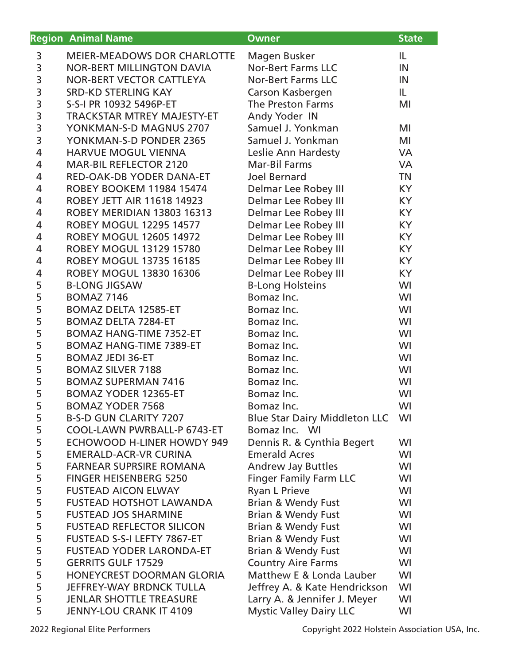|                         | <b>Region Animal Name</b>          | <b>Owner</b>                         | <b>State</b> |
|-------------------------|------------------------------------|--------------------------------------|--------------|
| 3                       | <b>MEIER-MEADOWS DOR CHARLOTTE</b> | Magen Busker                         | IL           |
| 3                       | <b>NOR-BERT MILLINGTON DAVIA</b>   | <b>Nor-Bert Farms LLC</b>            | IN           |
| 3                       | NOR-BERT VECTOR CATTLEYA           | <b>Nor-Bert Farms LLC</b>            | IN           |
| 3                       | <b>SRD-KD STERLING KAY</b>         | Carson Kasbergen                     | IL           |
| $\overline{\mathsf{3}}$ | S-S-I PR 10932 5496P-ET            | The Preston Farms                    | MI           |
| 3                       | <b>TRACKSTAR MTREY MAJESTY-ET</b>  | Andy Yoder IN                        |              |
| 3                       | YONKMAN-S-D MAGNUS 2707            | Samuel J. Yonkman                    | MI           |
| 3                       | YONKMAN-S-D PONDER 2365            | Samuel J. Yonkman                    | MI           |
| $\overline{4}$          | <b>HARVUE MOGUL VIENNA</b>         | Leslie Ann Hardesty                  | <b>VA</b>    |
| 4                       | <b>MAR-BIL REFLECTOR 2120</b>      | <b>Mar-Bil Farms</b>                 | <b>VA</b>    |
| 4                       | RED-OAK-DB YODER DANA-ET           | <b>Joel Bernard</b>                  | <b>TN</b>    |
| 4                       | <b>ROBEY BOOKEM 11984 15474</b>    | Delmar Lee Robey III                 | KY           |
| 4                       | <b>ROBEY JETT AIR 11618 14923</b>  | Delmar Lee Robey III                 | KY           |
| $\overline{4}$          | ROBEY MERIDIAN 13803 16313         | Delmar Lee Robey III                 | KY           |
| 4                       | <b>ROBEY MOGUL 12295 14577</b>     | Delmar Lee Robey III                 | KY           |
| 4                       | <b>ROBEY MOGUL 12605 14972</b>     | Delmar Lee Robey III                 | <b>KY</b>    |
| 4                       | <b>ROBEY MOGUL 13129 15780</b>     | Delmar Lee Robey III                 | KY           |
| 4                       | <b>ROBEY MOGUL 13735 16185</b>     | Delmar Lee Robey III                 | KY           |
| 4                       | <b>ROBEY MOGUL 13830 16306</b>     | Delmar Lee Robey III                 | KY           |
| 5                       | <b>B-LONG JIGSAW</b>               | <b>B-Long Holsteins</b>              | WI           |
| 5                       | <b>BOMAZ 7146</b>                  | Bomaz Inc.                           | WI           |
| 5                       | <b>BOMAZ DELTA 12585-ET</b>        | Bomaz Inc.                           | WI           |
| 5                       | <b>BOMAZ DELTA 7284-ET</b>         | Bomaz Inc.                           | WI           |
| 5                       | <b>BOMAZ HANG-TIME 7352-ET</b>     | Bomaz Inc.                           | WI           |
| 5                       | <b>BOMAZ HANG-TIME 7389-ET</b>     | Bomaz Inc.                           | WI           |
| 5                       | <b>BOMAZ JEDI 36-ET</b>            | Bomaz Inc.                           | WI           |
| 5                       | <b>BOMAZ SILVER 7188</b>           | Bomaz Inc.                           | WI           |
| 5                       | <b>BOMAZ SUPERMAN 7416</b>         | Bomaz Inc.                           | WI           |
| 5                       | <b>BOMAZ YODER 12365-ET</b>        | Bomaz Inc.                           | WI           |
| 5                       | <b>BOMAZ YODER 7568</b>            | Bomaz Inc.                           | WI           |
| 5                       | <b>B-S-D GUN CLARITY 7207</b>      | <b>Blue Star Dairy Middleton LLC</b> | WI           |
| 5                       | COOL-LAWN PWRBALL-P 6743-ET        | Bomaz Inc. WI                        |              |
| 5                       | <b>ECHOWOOD H-LINER HOWDY 949</b>  | Dennis R. & Cynthia Begert           | WI           |
| 5                       | <b>EMERALD-ACR-VR CURINA</b>       | <b>Emerald Acres</b>                 | WI           |
| 5                       | <b>FARNEAR SUPRSIRE ROMANA</b>     | <b>Andrew Jay Buttles</b>            | WI           |
| 5                       | <b>FINGER HEISENBERG 5250</b>      | <b>Finger Family Farm LLC</b>        | WI           |
| 5                       | <b>FUSTEAD AICON ELWAY</b>         | <b>Ryan L Prieve</b>                 | WI           |
| 5                       | <b>FUSTEAD HOTSHOT LAWANDA</b>     | <b>Brian &amp; Wendy Fust</b>        | WI           |
| 5                       | <b>FUSTEAD JOS SHARMINE</b>        | Brian & Wendy Fust                   | WI           |
| 5                       | <b>FUSTEAD REFLECTOR SILICON</b>   | Brian & Wendy Fust                   | WI           |
| 5                       | FUSTEAD S-S-I LEFTY 7867-ET        | <b>Brian &amp; Wendy Fust</b>        | WI           |
| 5                       | <b>FUSTEAD YODER LARONDA-ET</b>    | <b>Brian &amp; Wendy Fust</b>        | WI           |
| 5                       | <b>GERRITS GULF 17529</b>          | <b>Country Aire Farms</b>            | WI           |
| 5                       | <b>HONEYCREST DOORMAN GLORIA</b>   | Matthew E & Londa Lauber             | WI           |
| 5                       | JEFFREY-WAY BRDNCK TULLA           | Jeffrey A. & Kate Hendrickson        | WI           |
| 5                       | <b>JENLAR SHOTTLE TREASURE</b>     | Larry A. & Jennifer J. Meyer         | WI           |
| 5                       | <b>JENNY-LOU CRANK IT 4109</b>     | <b>Mystic Valley Dairy LLC</b>       | WI           |
|                         |                                    |                                      |              |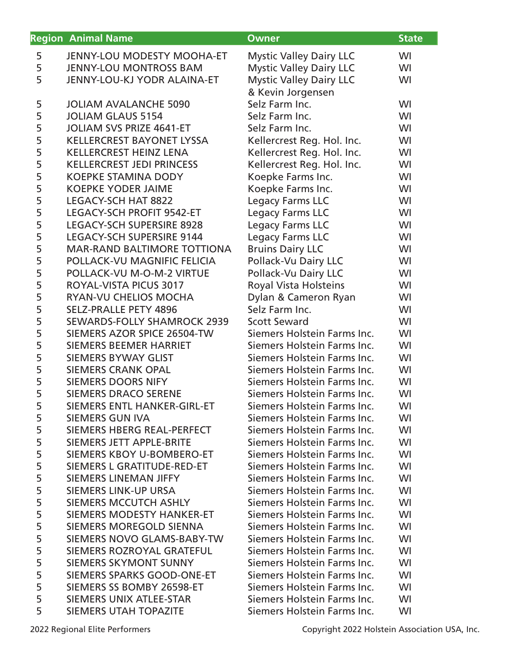|   | <b>Region Animal Name</b>          | <b>Owner</b>                   | <b>State</b> |
|---|------------------------------------|--------------------------------|--------------|
| 5 | <b>JENNY-LOU MODESTY MOOHA-ET</b>  | <b>Mystic Valley Dairy LLC</b> | WI           |
| 5 | <b>JENNY-LOU MONTROSS BAM</b>      | <b>Mystic Valley Dairy LLC</b> | WI           |
| 5 | JENNY-LOU-KJ YODR ALAINA-ET        | <b>Mystic Valley Dairy LLC</b> | WI           |
|   |                                    | & Kevin Jorgensen              |              |
| 5 | <b>JOLIAM AVALANCHE 5090</b>       | Selz Farm Inc.                 | WI           |
| 5 | <b>JOLIAM GLAUS 5154</b>           | Selz Farm Inc.                 | WI           |
| 5 | <b>JOLIAM SVS PRIZE 4641-ET</b>    | Selz Farm Inc.                 | WI           |
| 5 | <b>KELLERCREST BAYONET LYSSA</b>   | Kellercrest Reg. Hol. Inc.     | WI           |
| 5 | <b>KELLERCREST HEINZ LENA</b>      | Kellercrest Reg. Hol. Inc.     | WI           |
| 5 | <b>KELLERCREST JEDI PRINCESS</b>   | Kellercrest Reg. Hol. Inc.     | WI           |
| 5 | <b>KOEPKE STAMINA DODY</b>         | Koepke Farms Inc.              | WI           |
| 5 | <b>KOEPKE YODER JAIME</b>          | Koepke Farms Inc.              | WI           |
| 5 | <b>LEGACY-SCH HAT 8822</b>         | <b>Legacy Farms LLC</b>        | WI           |
| 5 | LEGACY-SCH PROFIT 9542-ET          | Legacy Farms LLC               | WI           |
| 5 | <b>LEGACY-SCH SUPERSIRE 8928</b>   | Legacy Farms LLC               | WI           |
| 5 | LEGACY-SCH SUPERSIRE 9144          | <b>Legacy Farms LLC</b>        | WI           |
| 5 | <b>MAR-RAND BALTIMORE TOTTIONA</b> | <b>Bruins Dairy LLC</b>        | WI           |
| 5 | POLLACK-VU MAGNIFIC FELICIA        | Pollack-Vu Dairy LLC           | WI           |
| 5 | POLLACK-VU M-O-M-2 VIRTUE          | Pollack-Vu Dairy LLC           | WI           |
| 5 | ROYAL-VISTA PICUS 3017             | <b>Royal Vista Holsteins</b>   | WI           |
| 5 | <b>RYAN-VU CHELIOS MOCHA</b>       | Dylan & Cameron Ryan           | WI           |
| 5 | <b>SELZ-PRALLE PETY 4896</b>       | Selz Farm Inc.                 | WI           |
| 5 | <b>SEWARDS-FOLLY SHAMROCK 2939</b> | <b>Scott Seward</b>            | WI           |
| 5 | SIEMERS AZOR SPICE 26504-TW        | Siemers Holstein Farms Inc.    | WI           |
| 5 | <b>SIEMERS BEEMER HARRIET</b>      | Siemers Holstein Farms Inc.    | WI           |
| 5 | <b>SIEMERS BYWAY GLIST</b>         | Siemers Holstein Farms Inc.    | WI           |
| 5 | <b>SIEMERS CRANK OPAL</b>          | Siemers Holstein Farms Inc.    | WI           |
| 5 | <b>SIEMERS DOORS NIFY</b>          | Siemers Holstein Farms Inc.    | WI           |
| 5 | <b>SIEMERS DRACO SERENE</b>        | Siemers Holstein Farms Inc.    | WI           |
| 5 | SIEMERS ENTL HANKER-GIRL-ET        | Siemers Holstein Farms Inc.    | WI           |
| 5 | <b>SIEMERS GUN IVA</b>             | Siemers Holstein Farms Inc.    | WI           |
| 5 | SIEMERS HBERG REAL-PERFECT         | Siemers Holstein Farms Inc.    | WI           |
| 5 | SIEMERS JETT APPLE-BRITE           | Siemers Holstein Farms Inc.    | WI           |
| 5 | SIEMERS KBOY U-BOMBERO-ET          | Siemers Holstein Farms Inc.    | WI           |
| 5 | SIEMERS L GRATITUDE-RED-ET         | Siemers Holstein Farms Inc.    | WI           |
| 5 | SIEMERS LINEMAN JIFFY              | Siemers Holstein Farms Inc.    | WI           |
| 5 | <b>SIEMERS LINK-UP URSA</b>        | Siemers Holstein Farms Inc.    | WI           |
| 5 | SIEMERS MCCUTCH ASHLY              | Siemers Holstein Farms Inc.    | WI           |
| 5 | <b>SIEMERS MODESTY HANKER-ET</b>   | Siemers Holstein Farms Inc.    | WI           |
| 5 | SIEMERS MOREGOLD SIENNA            | Siemers Holstein Farms Inc.    | WI           |
| 5 | SIEMERS NOVO GLAMS-BABY-TW         | Siemers Holstein Farms Inc.    | WI           |
| 5 | SIEMERS ROZROYAL GRATEFUL          | Siemers Holstein Farms Inc.    | WI           |
| 5 | <b>SIEMERS SKYMONT SUNNY</b>       | Siemers Holstein Farms Inc.    | WI           |
| 5 | SIEMERS SPARKS GOOD-ONE-ET         | Siemers Holstein Farms Inc.    | WI           |
| 5 | SIEMERS SS BOMBY 26598-ET          | Siemers Holstein Farms Inc.    | WI           |
| 5 | SIEMERS UNIX ATLEE-STAR            | Siemers Holstein Farms Inc.    | WI           |
| 5 | SIEMERS UTAH TOPAZITE              | Siemers Holstein Farms Inc.    | WI           |
|   |                                    |                                |              |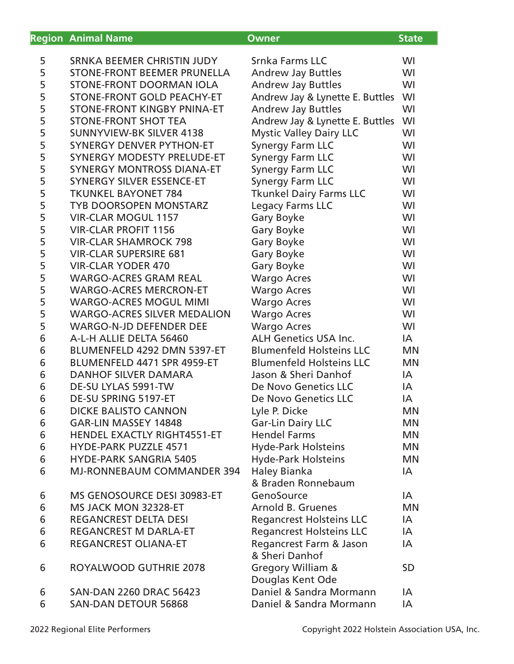|   | <b>Region Animal Name</b>          | <b>Owner</b>                    | <b>State</b> |
|---|------------------------------------|---------------------------------|--------------|
| 5 | SRNKA BEEMER CHRISTIN JUDY         | <b>Srnka Farms LLC</b>          | WI           |
| 5 | <b>STONE-FRONT BEEMER PRUNELLA</b> | <b>Andrew Jay Buttles</b>       | WI           |
| 5 | <b>STONE-FRONT DOORMAN IOLA</b>    | <b>Andrew Jay Buttles</b>       | WI           |
| 5 | STONE-FRONT GOLD PEACHY-ET         | Andrew Jay & Lynette E. Buttles | WI           |
| 5 | STONE-FRONT KINGBY PNINA-ET        | <b>Andrew Jay Buttles</b>       | WI           |
| 5 | <b>STONE-FRONT SHOT TEA</b>        | Andrew Jay & Lynette E. Buttles | WI           |
| 5 | <b>SUNNYVIEW-BK SILVER 4138</b>    |                                 | WI           |
| 5 | <b>SYNERGY DENVER PYTHON-ET</b>    | <b>Mystic Valley Dairy LLC</b>  |              |
|   |                                    | <b>Synergy Farm LLC</b>         | WI           |
| 5 | <b>SYNERGY MODESTY PRELUDE-ET</b>  | <b>Synergy Farm LLC</b>         | WI           |
| 5 | <b>SYNERGY MONTROSS DIANA-ET</b>   | <b>Synergy Farm LLC</b>         | WI           |
| 5 | SYNERGY SILVER ESSENCE-ET          | <b>Synergy Farm LLC</b>         | WI           |
| 5 | <b>TKUNKEL BAYONET 784</b>         | <b>Tkunkel Dairy Farms LLC</b>  | WI           |
| 5 | <b>TYB DOORSOPEN MONSTARZ</b>      | <b>Legacy Farms LLC</b>         | WI           |
| 5 | <b>VIR-CLAR MOGUL 1157</b>         | Gary Boyke                      | WI           |
| 5 | <b>VIR-CLAR PROFIT 1156</b>        | Gary Boyke                      | WI           |
| 5 | <b>VIR-CLAR SHAMROCK 798</b>       | Gary Boyke                      | WI           |
| 5 | <b>VIR-CLAR SUPERSIRE 681</b>      | <b>Gary Boyke</b>               | WI           |
| 5 | <b>VIR-CLAR YODER 470</b>          | Gary Boyke                      | WI           |
| 5 | <b>WARGO-ACRES GRAM REAL</b>       | <b>Wargo Acres</b>              | WI           |
| 5 | <b>WARGO-ACRES MERCRON-ET</b>      | <b>Wargo Acres</b>              | WI           |
| 5 | <b>WARGO-ACRES MOGUL MIMI</b>      | <b>Wargo Acres</b>              | WI           |
| 5 | <b>WARGO-ACRES SILVER MEDALION</b> | <b>Wargo Acres</b>              | WI           |
| 5 | <b>WARGO-N-JD DEFENDER DEE</b>     | <b>Wargo Acres</b>              | WI           |
| 6 | A-L-H ALLIE DELTA 56460            | ALH Genetics USA Inc.           | IA           |
| 6 | BLUMENFELD 4292 DMN 5397-ET        | <b>Blumenfeld Holsteins LLC</b> | <b>MN</b>    |
| 6 | BLUMENFELD 4471 SPR 4959-ET        | <b>Blumenfeld Holsteins LLC</b> | <b>MN</b>    |
| 6 | <b>DANHOF SILVER DAMARA</b>        | Jason & Sheri Danhof            | IA           |
| 6 | DE-SU LYLAS 5991-TW                | De Novo Genetics LLC            | IA           |
| 6 | DE-SU SPRING 5197-ET               | De Novo Genetics LLC            | IA           |
| 6 | <b>DICKE BALISTO CANNON</b>        | Lyle P. Dicke                   | <b>MN</b>    |
| 6 | <b>GAR-LIN MASSEY 14848</b>        | <b>Gar-Lin Dairy LLC</b>        | <b>MN</b>    |
| 6 | <b>HENDEL EXACTLY RIGHT4551-ET</b> | <b>Hendel Farms</b>             | <b>MN</b>    |
| 6 | <b>HYDE-PARK PUZZLE 4571</b>       | <b>Hyde-Park Holsteins</b>      | <b>MN</b>    |
| 6 | <b>HYDE-PARK SANGRIA 5405</b>      | <b>Hyde-Park Holsteins</b>      | <b>MN</b>    |
| 6 | <b>MJ-RONNEBAUM COMMANDER 394</b>  | <b>Haley Bianka</b>             | IA           |
|   |                                    | & Braden Ronnebaum              |              |
| 6 | MS GENOSOURCE DESI 30983-ET        | GenoSource                      | IA           |
| 6 | MS JACK MON 32328-ET               | <b>Arnold B. Gruenes</b>        | <b>MN</b>    |
| 6 | <b>REGANCREST DELTA DESI</b>       | <b>Regancrest Holsteins LLC</b> | IA           |
| 6 | <b>REGANCREST M DARLA-ET</b>       | <b>Regancrest Holsteins LLC</b> | IA           |
| 6 | <b>REGANCREST OLIANA-ET</b>        | Regancrest Farm & Jason         | IA           |
|   |                                    | & Sheri Danhof                  |              |
| 6 | ROYALWOOD GUTHRIE 2078             | <b>Gregory William &amp;</b>    | <b>SD</b>    |
|   |                                    | Douglas Kent Ode                |              |
| 6 | <b>SAN-DAN 2260 DRAC 56423</b>     | Daniel & Sandra Mormann         | IA           |
| 6 | <b>SAN-DAN DETOUR 56868</b>        | Daniel & Sandra Mormann         | IA           |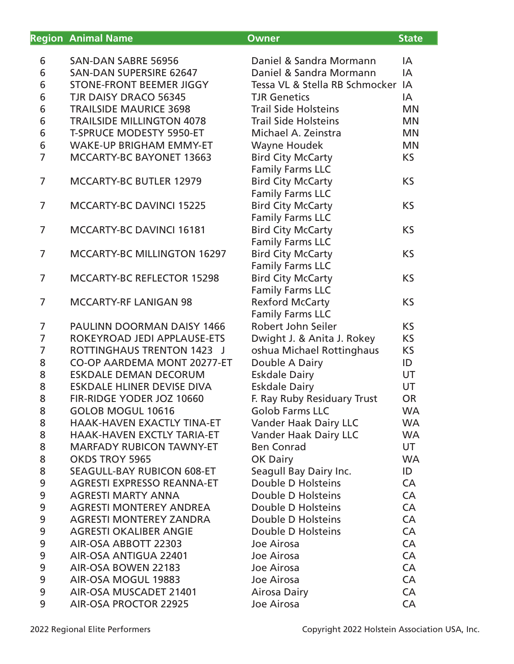|                | <b>Region Animal Name</b>          | <b>Owner</b>                   | <b>State</b> |
|----------------|------------------------------------|--------------------------------|--------------|
|                |                                    | Daniel & Sandra Mormann        | IA           |
| 6              | <b>SAN-DAN SABRE 56956</b>         |                                |              |
| 6              | <b>SAN-DAN SUPERSIRE 62647</b>     | Daniel & Sandra Mormann        | IA           |
| 6              | <b>STONE-FRONT BEEMER JIGGY</b>    | Tessa VL & Stella RB Schmocker | IA           |
| 6              | <b>TJR DAISY DRACO 56345</b>       | <b>TJR Genetics</b>            | IA           |
| 6              | <b>TRAILSIDE MAURICE 3698</b>      | <b>Trail Side Holsteins</b>    | <b>MN</b>    |
| 6              | <b>TRAILSIDE MILLINGTON 4078</b>   | <b>Trail Side Holsteins</b>    | <b>MN</b>    |
| 6              | <b>T-SPRUCE MODESTY 5950-ET</b>    | Michael A. Zeinstra            | <b>MN</b>    |
| 6              | <b>WAKE-UP BRIGHAM EMMY-ET</b>     | <b>Wayne Houdek</b>            | <b>MN</b>    |
| $\overline{7}$ | MCCARTY-BC BAYONET 13663           | <b>Bird City McCarty</b>       | <b>KS</b>    |
|                |                                    | <b>Family Farms LLC</b>        |              |
| $\overline{7}$ | <b>MCCARTY-BC BUTLER 12979</b>     | <b>Bird City McCarty</b>       | <b>KS</b>    |
|                |                                    | <b>Family Farms LLC</b>        |              |
| $\overline{7}$ | <b>MCCARTY-BC DAVINCI 15225</b>    | <b>Bird City McCarty</b>       | <b>KS</b>    |
|                |                                    | <b>Family Farms LLC</b>        |              |
| $\overline{7}$ | <b>MCCARTY-BC DAVINCI 16181</b>    | <b>Bird City McCarty</b>       | <b>KS</b>    |
|                |                                    | <b>Family Farms LLC</b>        |              |
| 7              | <b>MCCARTY-BC MILLINGTON 16297</b> | <b>Bird City McCarty</b>       | <b>KS</b>    |
|                |                                    | <b>Family Farms LLC</b>        |              |
| $\overline{7}$ | <b>MCCARTY-BC REFLECTOR 15298</b>  | <b>Bird City McCarty</b>       | <b>KS</b>    |
|                |                                    | <b>Family Farms LLC</b>        |              |
| 7              | <b>MCCARTY-RF LANIGAN 98</b>       | <b>Rexford McCarty</b>         | <b>KS</b>    |
|                |                                    | <b>Family Farms LLC</b>        |              |
| 7              | PAULINN DOORMAN DAISY 1466         | Robert John Seiler             | <b>KS</b>    |
| $\overline{7}$ | ROKEYROAD JEDI APPLAUSE-ETS        |                                | <b>KS</b>    |
| $\overline{7}$ | <b>ROTTINGHAUS TRENTON 1423 J</b>  | Dwight J. & Anita J. Rokey     | <b>KS</b>    |
|                |                                    | oshua Michael Rottinghaus      |              |
| 8              | CO-OP AARDEMA MONT 20277-ET        | Double A Dairy                 | ID           |
| 8              | <b>ESKDALE DEMAN DECORUM</b>       | <b>Eskdale Dairy</b>           | UT           |
| 8              | ESKDALE HLINER DEVISE DIVA         | <b>Eskdale Dairy</b>           | UT           |
| 8              | FIR-RIDGE YODER JOZ 10660          | F. Ray Ruby Residuary Trust    | <b>OR</b>    |
| 8              | <b>GOLOB MOGUL 10616</b>           | <b>Golob Farms LLC</b>         | <b>WA</b>    |
| 8              | <b>HAAK-HAVEN EXACTLY TINA-ET</b>  | Vander Haak Dairy LLC          | <b>WA</b>    |
| 8              | HAAK-HAVEN EXCTLY TARIA-ET         | Vander Haak Dairy LLC          | <b>WA</b>    |
| 8              | <b>MARFADY RUBICON TAWNY-ET</b>    | <b>Ben Conrad</b>              | <b>UT</b>    |
| 8              | OKDS TROY 5965                     | OK Dairy                       | <b>WA</b>    |
| 8              | <b>SEAGULL-BAY RUBICON 608-ET</b>  | Seagull Bay Dairy Inc.         | ID           |
| 9              | <b>AGRESTI EXPRESSO REANNA-ET</b>  | Double D Holsteins             | CA           |
| 9              | <b>AGRESTI MARTY ANNA</b>          | Double D Holsteins             | CA           |
| 9              | <b>AGRESTI MONTEREY ANDREA</b>     | Double D Holsteins             | CA           |
| 9              | <b>AGRESTI MONTEREY ZANDRA</b>     | Double D Holsteins             | CA           |
| 9              | <b>AGRESTI OKALIBER ANGIE</b>      | Double D Holsteins             | CA           |
| 9              | AIR-OSA ABBOTT 22303               | Joe Airosa                     | CA           |
| 9              | AIR-OSA ANTIGUA 22401              | Joe Airosa                     | CA           |
| 9              | AIR-OSA BOWEN 22183                | Joe Airosa                     | CA           |
| 9              | AIR-OSA MOGUL 19883                | Joe Airosa                     | CA           |
| 9              | AIR-OSA MUSCADET 21401             | Airosa Dairy                   | CA           |
| 9              | AIR-OSA PROCTOR 22925              | Joe Airosa                     | CA           |
|                |                                    |                                |              |